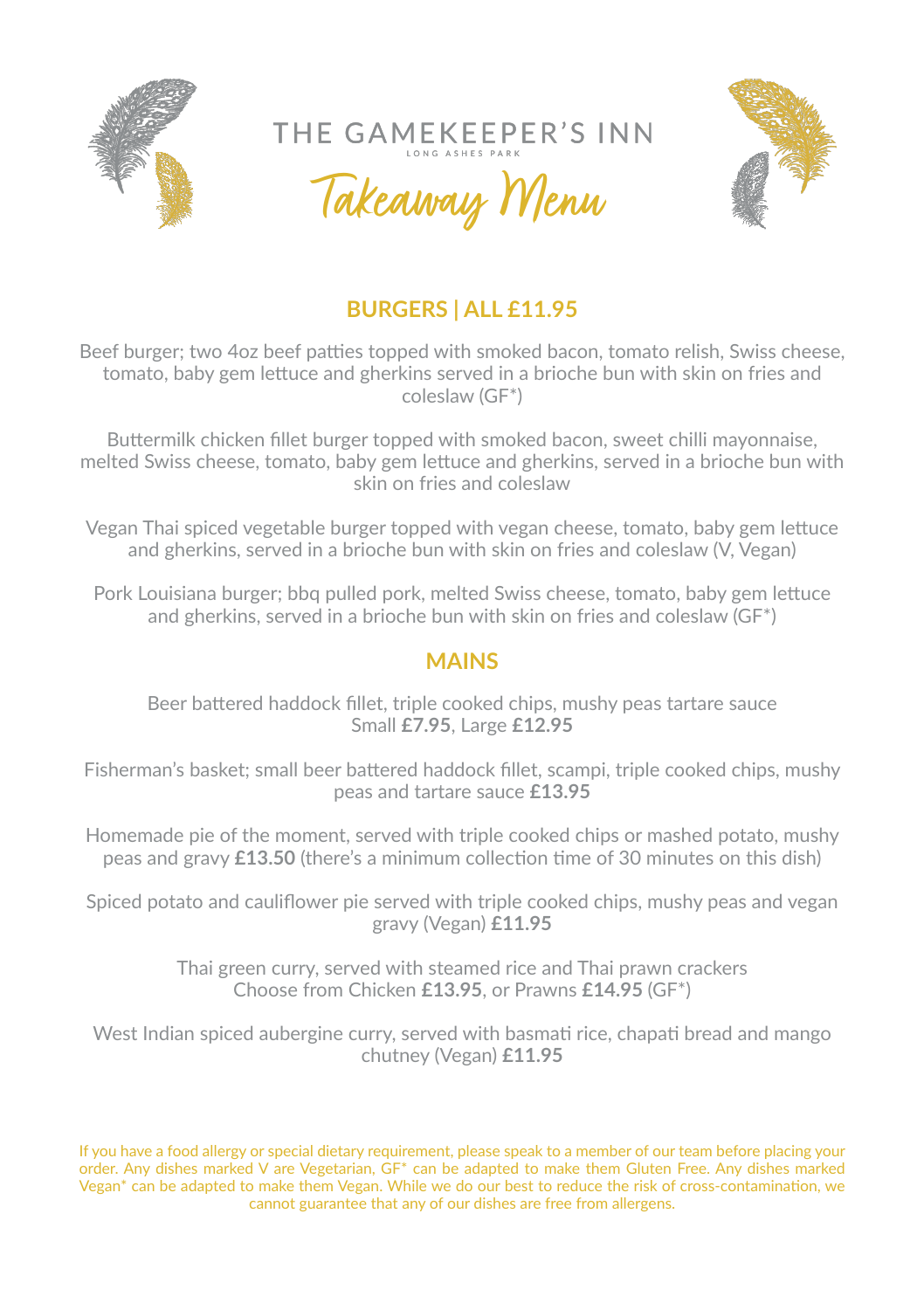

THE GAMEKEEPER'S INN

Takeaway Menu



## **BURGERS | ALL £11.95**

Beef burger; two 4oz beef patties topped with smoked bacon, tomato relish, Swiss cheese, tomato, baby gem lettuce and gherkins served in a brioche bun with skin on fries and coleslaw (GF\*)

Buttermilk chicken fillet burger topped with smoked bacon, sweet chilli mayonnaise, melted Swiss cheese, tomato, baby gem lettuce and gherkins, served in a brioche bun with skin on fries and coleslaw

Vegan Thai spiced vegetable burger topped with vegan cheese, tomato, baby gem lettuce and gherkins, served in a brioche bun with skin on fries and coleslaw (V, Vegan)

Pork Louisiana burger; bbq pulled pork, melted Swiss cheese, tomato, baby gem lettuce and gherkins, served in a brioche bun with skin on fries and coleslaw (GF\*)

## **MAINS**

Beer battered haddock fillet, triple cooked chips, mushy peas tartare sauce Small **£7.95**, Large **£12.95**

Fisherman's basket; small beer battered haddock fillet, scampi, triple cooked chips, mushy peas and tartare sauce **£13.95**

Homemade pie of the moment, served with triple cooked chips or mashed potato, mushy peas and gravy **£13.50** (there's a minimum collection time of 30 minutes on this dish)

Spiced potato and cauliflower pie served with triple cooked chips, mushy peas and vegan gravy (Vegan) **£11.95**

> Thai green curry, served with steamed rice and Thai prawn crackers Choose from Chicken **£13.95**, or Prawns **£14.95** (GF\*)

West Indian spiced aubergine curry, served with basmati rice, chapati bread and mango chutney (Vegan) **£11.95**

If you have a food allergy or special dietary requirement, please speak to a member of our team before placing your order. Any dishes marked V are Vegetarian, GF\* can be adapted to make them Gluten Free. Any dishes marked Vegan\* can be adapted to make them Vegan. While we do our best to reduce the risk of cross-contamination, we cannot guarantee that any of our dishes are free from allergens.